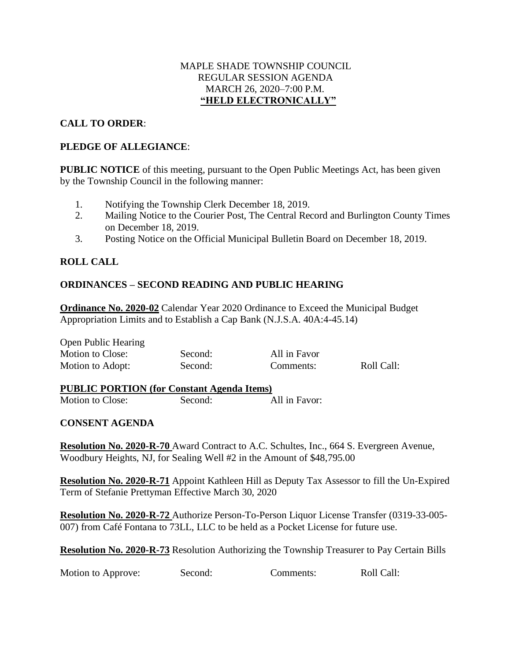### MAPLE SHADE TOWNSHIP COUNCIL REGULAR SESSION AGENDA MARCH 26, 2020–7:00 P.M. **"HELD ELECTRONICALLY"**

## **CALL TO ORDER**:

## **PLEDGE OF ALLEGIANCE**:

**PUBLIC NOTICE** of this meeting, pursuant to the Open Public Meetings Act, has been given by the Township Council in the following manner:

- 1. Notifying the Township Clerk December 18, 2019.
- 2. Mailing Notice to the Courier Post, The Central Record and Burlington County Times on December 18, 2019.
- 3. Posting Notice on the Official Municipal Bulletin Board on December 18, 2019.

# **ROLL CALL**

# **ORDINANCES – SECOND READING AND PUBLIC HEARING**

**Ordinance No. 2020-02** Calendar Year 2020 Ordinance to Exceed the Municipal Budget Appropriation Limits and to Establish a Cap Bank (N.J.S.A. 40A:4-45.14)

| <b>Open Public Hearing</b> |         |              |            |  |
|----------------------------|---------|--------------|------------|--|
| Motion to Close:           | Second: | All in Favor |            |  |
| Motion to Adopt:           | Second: | Comments:    | Roll Call: |  |

#### **PUBLIC PORTION (for Constant Agenda Items)** Motion to Close: Second: All in Favor:

### **CONSENT AGENDA**

**Resolution No. 2020-R-70** Award Contract to A.C. Schultes, Inc., 664 S. Evergreen Avenue, Woodbury Heights, NJ, for Sealing Well #2 in the Amount of \$48,795.00

**Resolution No. 2020-R-71** Appoint Kathleen Hill as Deputy Tax Assessor to fill the Un-Expired Term of Stefanie Prettyman Effective March 30, 2020

**Resolution No. 2020-R-72** Authorize Person-To-Person Liquor License Transfer (0319-33-005- 007) from Café Fontana to 73LL, LLC to be held as a Pocket License for future use.

**Resolution No. 2020-R-73** Resolution Authorizing the Township Treasurer to Pay Certain Bills

Motion to Approve: Second: Comments: Roll Call: